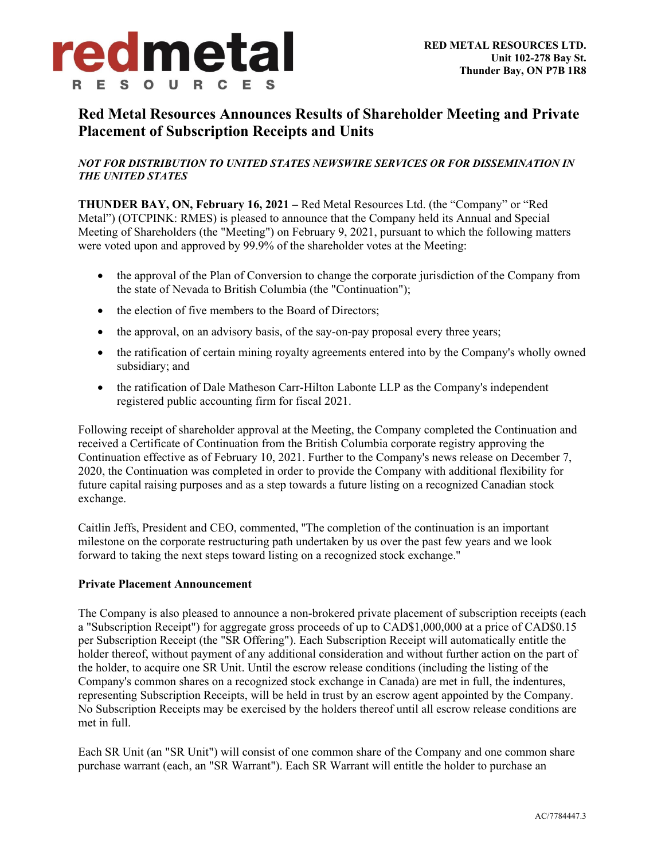

# **Red Metal Resources Announces Results of Shareholder Meeting and Private Placement of Subscription Receipts and Units**

## *NOT FOR DISTRIBUTION TO UNITED STATES NEWSWIRE SERVICES OR FOR DISSEMINATION IN THE UNITED STATES*

**THUNDER BAY, ON, February 16, 2021 –** Red Metal Resources Ltd. (the "Company" or "Red Metal") (OTCPINK: RMES) is pleased to announce that the Company held its Annual and Special Meeting of Shareholders (the "Meeting") on February 9, 2021, pursuant to which the following matters were voted upon and approved by 99.9% of the shareholder votes at the Meeting:

- the approval of the Plan of Conversion to change the corporate jurisdiction of the Company from the state of Nevada to British Columbia (the "Continuation");
- the election of five members to the Board of Directors;
- the approval, on an advisory basis, of the say-on-pay proposal every three years;
- the ratification of certain mining royalty agreements entered into by the Company's wholly owned subsidiary; and
- the ratification of Dale Matheson Carr-Hilton Labonte LLP as the Company's independent registered public accounting firm for fiscal 2021.

Following receipt of shareholder approval at the Meeting, the Company completed the Continuation and received a Certificate of Continuation from the British Columbia corporate registry approving the Continuation effective as of February 10, 2021. Further to the Company's news release on December 7, 2020, the Continuation was completed in order to provide the Company with additional flexibility for future capital raising purposes and as a step towards a future listing on a recognized Canadian stock exchange.

Caitlin Jeffs, President and CEO, commented, ''The completion of the continuation is an important milestone on the corporate restructuring path undertaken by us over the past few years and we look forward to taking the next steps toward listing on a recognized stock exchange.''

#### **Private Placement Announcement**

The Company is also pleased to announce a non-brokered private placement of subscription receipts (each a "Subscription Receipt") for aggregate gross proceeds of up to CAD\$1,000,000 at a price of CAD\$0.15 per Subscription Receipt (the "SR Offering"). Each Subscription Receipt will automatically entitle the holder thereof, without payment of any additional consideration and without further action on the part of the holder, to acquire one SR Unit. Until the escrow release conditions (including the listing of the Company's common shares on a recognized stock exchange in Canada) are met in full, the indentures, representing Subscription Receipts, will be held in trust by an escrow agent appointed by the Company. No Subscription Receipts may be exercised by the holders thereof until all escrow release conditions are met in full.

Each SR Unit (an "SR Unit") will consist of one common share of the Company and one common share purchase warrant (each, an "SR Warrant"). Each SR Warrant will entitle the holder to purchase an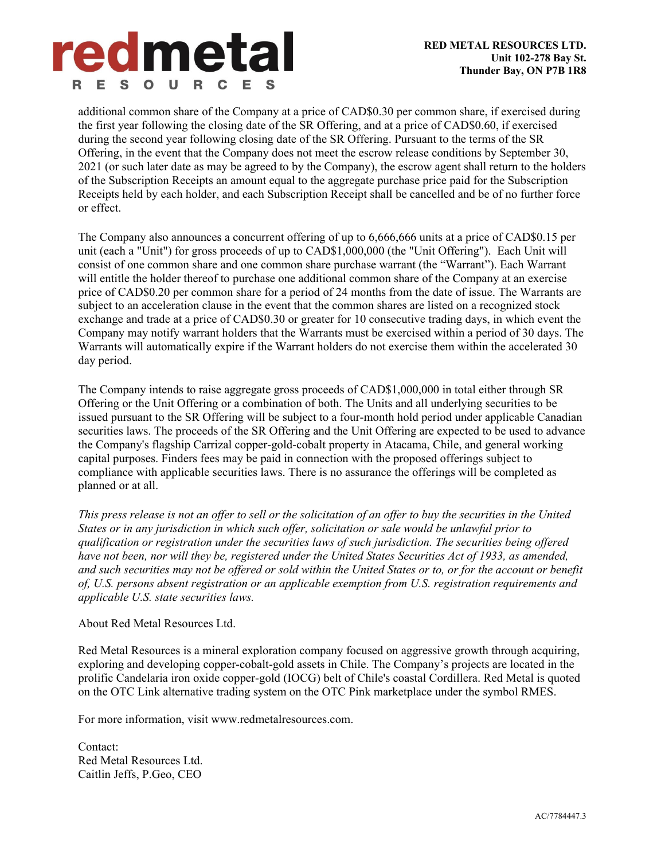

additional common share of the Company at a price of CAD\$0.30 per common share, if exercised during the first year following the closing date of the SR Offering, and at a price of CAD\$0.60, if exercised during the second year following closing date of the SR Offering. Pursuant to the terms of the SR Offering, in the event that the Company does not meet the escrow release conditions by September 30, 2021 (or such later date as may be agreed to by the Company), the escrow agent shall return to the holders of the Subscription Receipts an amount equal to the aggregate purchase price paid for the Subscription Receipts held by each holder, and each Subscription Receipt shall be cancelled and be of no further force or effect.

The Company also announces a concurrent offering of up to 6,666,666 units at a price of CAD\$0.15 per unit (each a "Unit") for gross proceeds of up to CAD\$1,000,000 (the "Unit Offering"). Each Unit will consist of one common share and one common share purchase warrant (the "Warrant"). Each Warrant will entitle the holder thereof to purchase one additional common share of the Company at an exercise price of CAD\$0.20 per common share for a period of 24 months from the date of issue. The Warrants are subject to an acceleration clause in the event that the common shares are listed on a recognized stock exchange and trade at a price of CAD\$0.30 or greater for 10 consecutive trading days, in which event the Company may notify warrant holders that the Warrants must be exercised within a period of 30 days. The Warrants will automatically expire if the Warrant holders do not exercise them within the accelerated 30 day period.

The Company intends to raise aggregate gross proceeds of CAD\$1,000,000 in total either through SR Offering or the Unit Offering or a combination of both. The Units and all underlying securities to be issued pursuant to the SR Offering will be subject to a four-month hold period under applicable Canadian securities laws. The proceeds of the SR Offering and the Unit Offering are expected to be used to advance the Company's flagship Carrizal copper-gold-cobalt property in Atacama, Chile, and general working capital purposes. Finders fees may be paid in connection with the proposed offerings subject to compliance with applicable securities laws. There is no assurance the offerings will be completed as planned or at all.

*This press release is not an offer to sell or the solicitation of an offer to buy the securities in the United States or in any jurisdiction in which such offer, solicitation or sale would be unlawful prior to qualification or registration under the securities laws of such jurisdiction. The securities being offered have not been, nor will they be, registered under the United States Securities Act of 1933, as amended, and such securities may not be offered or sold within the United States or to, or for the account or benefit of, U.S. persons absent registration or an applicable exemption from U.S. registration requirements and applicable U.S. state securities laws.* 

### About Red Metal Resources Ltd.

Red Metal Resources is a mineral exploration company focused on aggressive growth through acquiring, exploring and developing copper-cobalt-gold assets in Chile. The Company's projects are located in the prolific Candelaria iron oxide copper-gold (IOCG) belt of Chile's coastal Cordillera. Red Metal is quoted on the OTC Link alternative trading system on the OTC Pink marketplace under the symbol RMES.

For more information, visit www.redmetalresources.com.

Contact: Red Metal Resources Ltd. Caitlin Jeffs, P.Geo, CEO